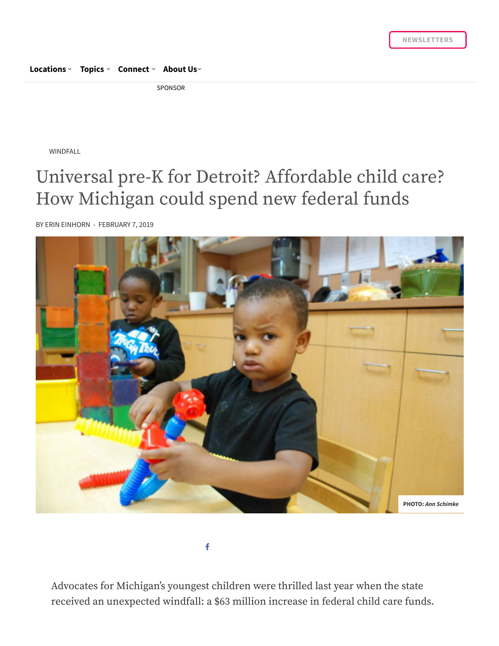## **[Locations](https://www.chalkbeat.org/) › [Topics](https://www.chalkbeat.org/) › [Connect](https://www.chalkbeat.org/contact/) › [About](https://www.chalkbeat.org/) Us ›**

SPONSOR

WINDFALL

## Universal pre-K for Detroit? Affordable child care? How Michigan could spend new federal funds

BY ERIN [EINHORN](https://www.chalkbeat.org/author/eeinhorn/) - FEBRUARY 7, 2019



f

Advocates for Michigan's youngest children were thrilled last year when the state received an unexpected windfall: a \$63 million increase in federal child care funds.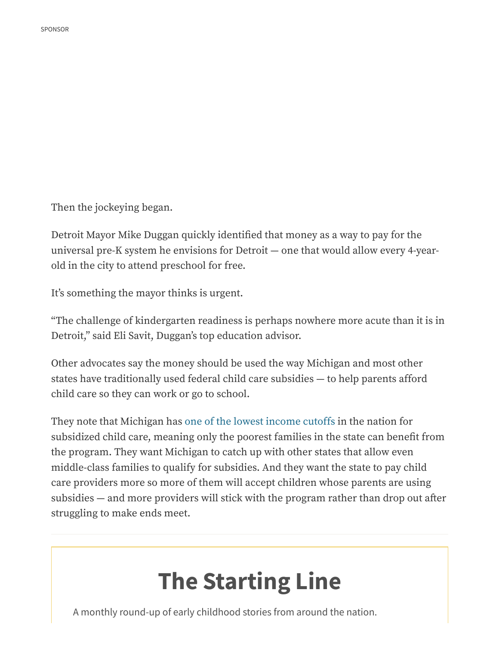Then the jockeying began.

Detroit Mayor Mike Duggan quickly identified that money as a way to pay for the universal pre-K system he envisions for Detroit — one that would allow every 4-yearold in the city to attend preschool for free.

It's something the mayor thinks is urgent.

"The challenge of kindergarten readiness is perhaps nowhere more acute than it is in Detroit," said Eli Savit, Duggan's top education advisor.

Other advocates say the money should be used the way Michigan and most other states have traditionally used federal child care subsidies — to help parents afford child care so they can work or go to school.

They note that Michigan has one of the lowest [income](https://www.bridgemi.com/talent-education/ceos-republicans-add-voices-michigans-child-care-crisis) cutoffs in the nation for subsidized child care, meaning only the poorest families in the state can benefit from the program. They want Michigan to catch up with other states that allow even middle-class families to qualify for subsidies. And they want the state to pay child care providers more so more of them will accept children whose parents are using subsidies  $-$  and more providers will stick with the program rather than drop out after struggling to make ends meet.

## **The Starting Line**

A monthly round-up of early childhood stories from around the nation.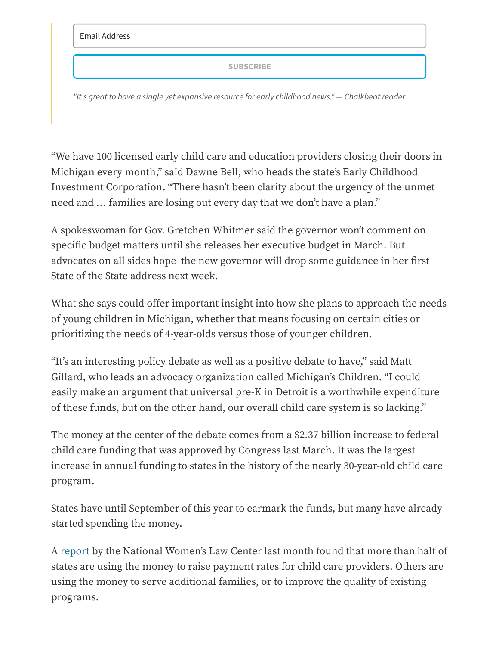Email Address

**SUBSCRIBE**

*"It's great to have a single yet expansive resource for early childhood news." — Chalkbeat reader*

"We have 100 licensed early child care and education providers closing their doors in Michigan every month," said Dawne Bell, who heads the state's Early Childhood Investment Corporation. "There hasn't been clarity about the urgency of the unmet need and … families are losing out every day that we don't have a plan."

A spokeswoman for Gov. Gretchen Whitmer said the governor won't comment on specific budget matters until she releases her executive budget in March. But advocates on all sides hope the new governor will drop some guidance in her first State of the State address next week.

What she says could offer important insight into how she plans to approach the needs of young children in Michigan, whether that means focusing on certain cities or prioritizing the needs of 4-year-olds versus those of younger children.

"It's an interesting policy debate as well as a positive debate to have," said Matt Gillard, who leads an advocacy organization called Michigan's Children. "I could easily make an argument that universal pre-K in Detroit is a worthwhile expenditure of these funds, but on the other hand, our overall child care system is so lacking."

The money at the center of the debate comes from a \$2.37 billion increase to federal child care funding that was approved by Congress last March. It was the largest increase in annual funding to states in the history of the nearly 30-year-old child care program.

States have until September of this year to earmark the funds, but many have already started spending the money.

A [report](https://nwlc.org/resources/states-use-new-child-care-development-block-grant-funds-help-children-families/) by the National Women's Law Center last month found that more than half of states are using the money to raise payment rates for child care providers. Others are using the money to serve additional families, or to improve the quality of existing programs.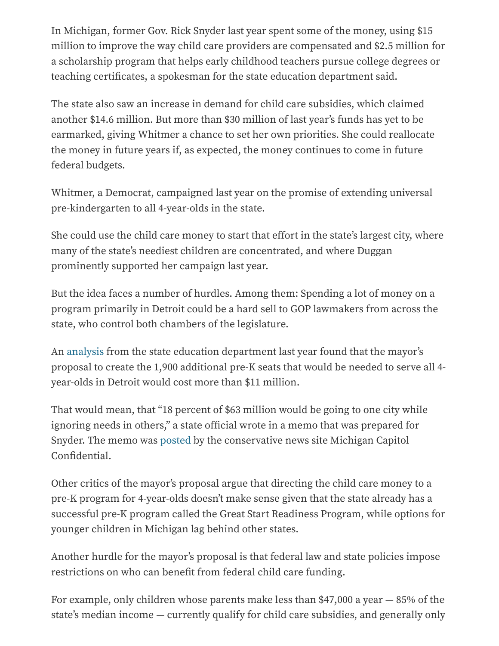In Michigan, former Gov. Rick Snyder last year spent some of the money, using \$15 million to improve the way child care providers are compensated and \$2.5 million for a scholarship program that helps early childhood teachers pursue college degrees or teaching certificates, a spokesman for the state education department said.

The state also saw an increase in demand for child care subsidies, which claimed another \$14.6 million. But more than \$30 million of last year's funds has yet to be earmarked, giving Whitmer a chance to set her own priorities. She could reallocate the money in future years if, as expected, the money continues to come in future federal budgets.

Whitmer, a Democrat, campaigned last year on the promise of extending universal pre-kindergarten to all 4-year-olds in the state.

She could use the child care money to start that effort in the state's largest city, where many of the state's neediest children are concentrated, and where Duggan prominently supported her campaign last year.

But the idea faces a number of hurdles. Among them: Spending a lot of money on a program primarily in Detroit could be a hard sell to GOP lawmakers from across the state, who control both chambers of the legislature.

An [analysis](https://www.michigancapitolconfidential.com/archives/2018/Detroit%20Proposal.pdf) from the state education department last year found that the mayor's proposal to create the 1,900 additional pre-K seats that would be needed to serve all 4 year-olds in Detroit would cost more than \$11 million.

That would mean, that "18 percent of \$63 million would be going to one city while ignoring needs in others," a state official wrote in a memo that was prepared for Snyder. The memo was [posted](https://www.michigancapitolconfidential.com/state-officials-question-detroits-universal-preschool-plans) by the conservative news site Michigan Capitol Confidential.

Other critics of the mayor's proposal argue that directing the child care money to a pre-K program for 4-year-olds doesn't make sense given that the state already has a successful pre-K program called the Great Start Readiness Program, while options for younger children in Michigan lag behind other states.

Another hurdle for the mayor's proposal is that federal law and state policies impose restrictions on who can benefit from federal child care funding.

For example, only children whose parents make less than \$47,000 a year — 85% of the state's median income — currently qualify for child care subsidies, and generally only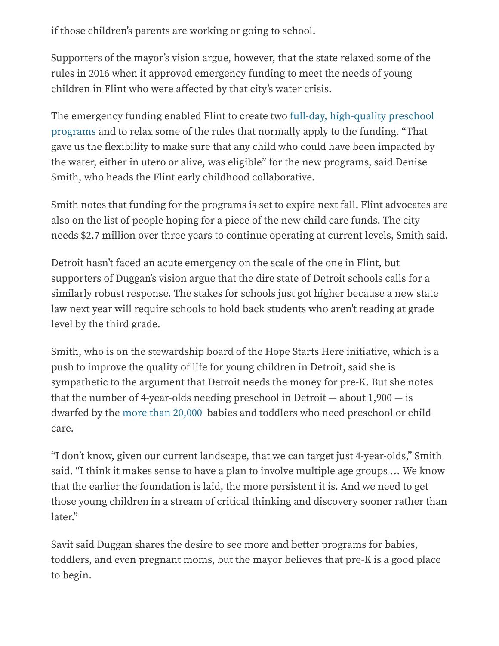if those children's parents are working or going to school.

Supporters of the mayor's vision argue, however, that the state relaxed some of the rules in 2016 when it approved emergency funding to meet the needs of young children in Flint who were affected by that city's water crisis.

The emergency [funding enabled](https://www.bridgemi.com/children-families/preschool-works-wonders-flint-water-crisis-kids-funding-running-out) Flint to create two full-day, high-quality preschool programs and to relax some of the rules that normally apply to the funding. "That gave us the flexibility to make sure that any child who could have been impacted by the water, either in utero or alive, was eligible" for the new programs, said Denise Smith, who heads the Flint early childhood collaborative.

Smith notes that funding for the programs is set to expire next fall. Flint advocates are also on the list of people hoping for a piece of the new child care funds. The city needs \$2.7 million over three years to continue operating at current levels, Smith said.

Detroit hasn't faced an acute emergency on the scale of the one in Flint, but supporters of Duggan's vision argue that the dire state of Detroit schools calls for a similarly robust response. The stakes for schools just got higher because a new state law next year will require schools to hold back students who aren't reading at grade level by the third grade.

Smith, who is on the stewardship board of the Hope Starts Here initiative, which is a push to improve the quality of life for young children in Detroit, said she is sympathetic to the argument that Detroit needs the money for pre-K. But she notes that the number of 4-year-olds needing preschool in Detroit — about 1,900 — is dwarfed by the more [than 20,000](https://datadrivendetroit.org/kresge-tool/) babies and toddlers who need preschool or child care.

"I don't know, given our current landscape, that we can target just 4-year-olds," Smith said. "I think it makes sense to have a plan to involve multiple age groups … We know that the earlier the foundation is laid, the more persistent it is. And we need to get those young children in a stream of critical thinking and discovery sooner rather than later."

Savit said Duggan shares the desire to see more and better programs for babies, toddlers, and even pregnant moms, but the mayor believes that pre-K is a good place to begin.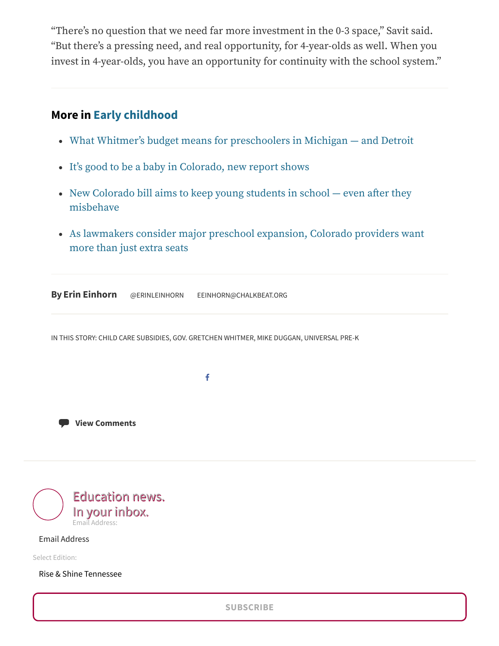"There's no question that we need far more investment in the 0-3 space," Savit said. "But there's a pressing need, and real opportunity, for 4-year-olds as well. When you invest in 4-year-olds, you have an opportunity for continuity with the school system."

## **More in [Early childhood](https://www.chalkbeat.org/series/the-search-for-quality-and-equity-in-ece/)**

- What Whitmer's budget means for preschoolers [in Michigan —](https://www.chalkbeat.org/posts/detroit/2019/03/06/what-whitmers-budget-means-for-preschoolers-in-michigan-and-detroit/) and Detroit
- It's good to be a baby [in Colorado,](https://www.chalkbeat.org/posts/co/2019/02/26/its-good-to-be-a-baby-in-colorado-new-report-shows/) new report shows
- New Colorado bill aims to keep [young students](https://www.chalkbeat.org/posts/co/2019/02/21/new-colorado-bill-aims-to-keep-young-students-in-school-even-after-they-misbehave/) in school  $-$  even after they misbehave
- As lawmakers consider major preschool [expansion,](https://www.chalkbeat.org/posts/co/2019/02/14/as-lawmakers-consider-major-preschool-expansion-colorado-providers-want-more-than-just-extra-seats/) Colorado providers want more than just extra seats

**By Erin [Einhorn](https://www.chalkbeat.org/author/eeinhorn/)** [@ERINLEINHORN](https://twitter.com/erinleinhorn) [EEINHORN@CHALKBEAT.ORG](mailto:eeinhorn@chalkbeat.org)

IN THIS STORY: CHILD CARE [SUBSIDIES](https://www.chalkbeat.org/tag/child-care-subsidies/), GOV. [GRETCHEN](https://www.chalkbeat.org/tag/gov-gretchen-whitmer/) WHITMER, MIKE [DUGGAN,](https://www.chalkbeat.org/tag/mike-duggan/) [UNIVERSAL](https://www.chalkbeat.org/tag/universal-pre-k/) PRE-K

f

**View [Comments](https://www.chalkbeat.org/posts/detroit/2019/02/07/universal-pre-k-for-detroit-affordable-child-care-how-will-michigan-spend-new-federal-funds/?comments=true#disqus_thread)**



Email Address

Select Edition:

Rise & Shine Tennessee

**SUBSCRIBE**